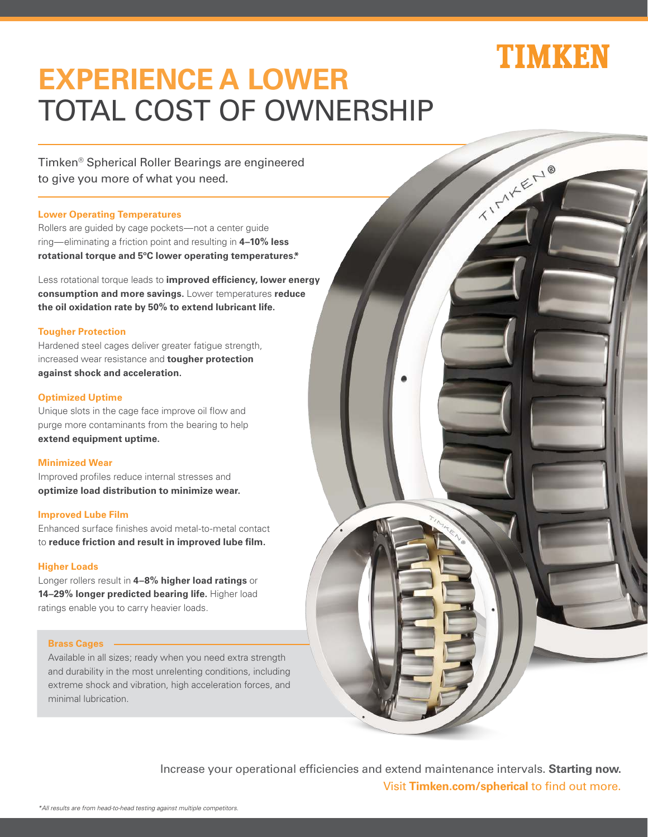# TIMKBN

# **EXPERIENCE A LOWER**  TOTAL COST OF OWNERSHIP

Timken® Spherical Roller Bearings are engineered to give you more of what you need.

### **Lower Operating Temperatures**

Rollers are guided by cage pockets—not a center guide ring—eliminating a friction point and resulting in **4–10% less rotational torque and 5ºC lower operating temperatures.\***

Less rotational torque leads to **improved efficiency, lower energy consumption and more savings.** Lower temperatures **reduce the oil oxidation rate by 50% to extend lubricant life.**

### **Tougher Protection**

Hardened steel cages deliver greater fatigue strength, increased wear resistance and **tougher protection against shock and acceleration.**

## **Optimized Uptime**

Unique slots in the cage face improve oil flow and purge more contaminants from the bearing to help **extend equipment uptime.**

# **Minimized Wear**

Improved profiles reduce internal stresses and **optimize load distribution to minimize wear.**

#### **Improved Lube Film**

Enhanced surface finishes avoid metal-to-metal contact to **reduce friction and result in improved lube film.**

### **Higher Loads**

Longer rollers result in **4–8% higher load ratings** or **14–29% longer predicted bearing life.** Higher load ratings enable you to carry heavier loads.

#### **Brass Cages**

Available in all sizes; ready when you need extra strength and durability in the most unrelenting conditions, including extreme shock and vibration, high acceleration forces, and minimal lubrication.



Increase your operational efficiencies and extend maintenance intervals. **Starting now.** Visit **Timken.com/spherical** to find out more.